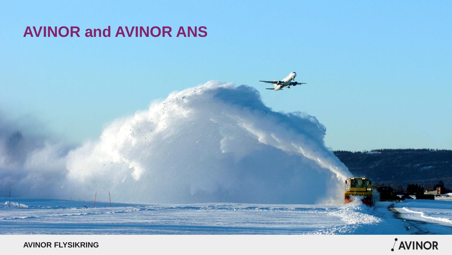#### **AVINOR and AVINOR ANS**

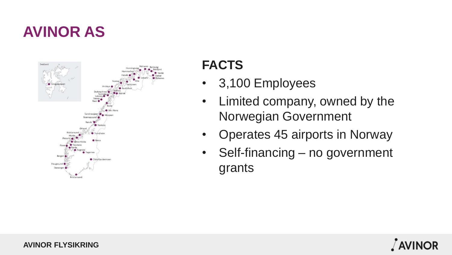# **AVINOR AS**



#### **FACTS**

- 3,100 Employees
- Limited company, owned by the Norwegian Government
- Operates 45 airports in Norway
- Self-financing no government grants

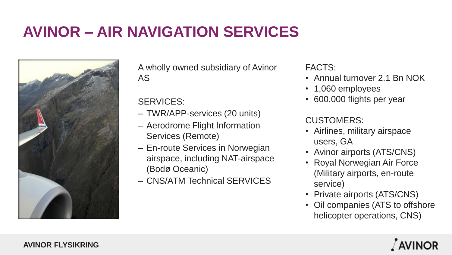# **AVINOR – AIR NAVIGATION SERVICES**



A wholly owned subsidiary of Avinor AS

#### SERVICES:

- TWR/APP-services (20 units)
- Aerodrome Flight Information Services (Remote)
- En-route Services in Norwegian airspace, including NAT-airspace (Bodø Oceanic)
- CNS/ATM Technical SERVICES

FACTS:

- Annual turnover 2.1 Bn NOK
- 1,060 employees
- 600,000 flights per year

#### CUSTOMERS:

- Airlines, military airspace users, GA
- Avinor airports (ATS/CNS)
- Royal Norwegian Air Force (Military airports, en-route service)
- Private airports (ATS/CNS)
- Oil companies (ATS to offshore helicopter operations, CNS)

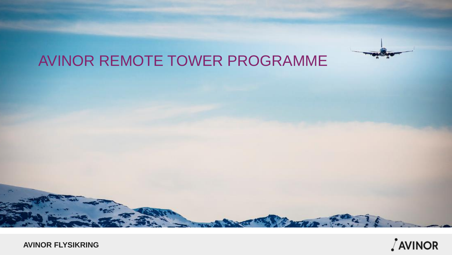

# AVINOR REMOTE TOWER PROGRAMME

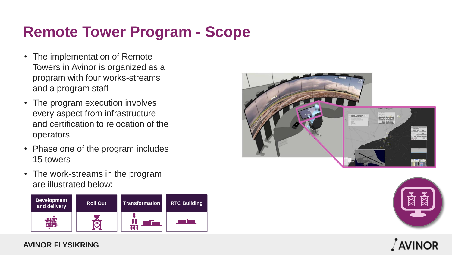# **Remote Tower Program - Scope**

- The implementation of Remote Towers in Avinor is organized as a program with four works-streams and a program staff
- The program execution involves every aspect from infrastructure and certification to relocation of the operators
- Phase one of the program includes 15 towers
- The work-streams in the program are illustrated below:







#### / AVINOR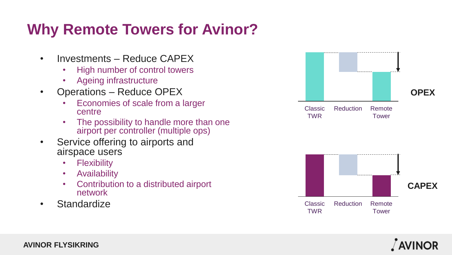# **Why Remote Towers for Avinor?**

- Investments Reduce CAPEX
	- High number of control towers
	- Ageing infrastructure
- Operations Reduce OPEX
	- Economies of scale from a larger centre
	- The possibility to handle more than one airport per controller (multiple ops)
- Service offering to airports and airspace users
	- Flexibility
	- Availability
	- Contribution to a distributed airport network
- Standardize



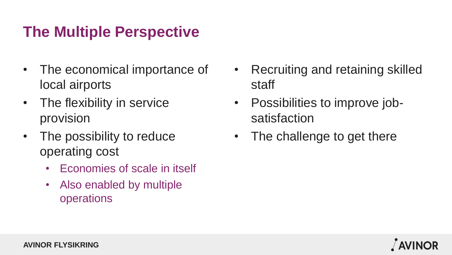# **The Multiple Perspective**

- The economical importance of local airports
- The flexibility in service provision
- The possibility to reduce operating cost
	- Economies of scale in itself
	- Also enabled by multiple operations
- Recruiting and retaining skilled staff
- Possibilities to improve jobsatisfaction
- The challenge to get there

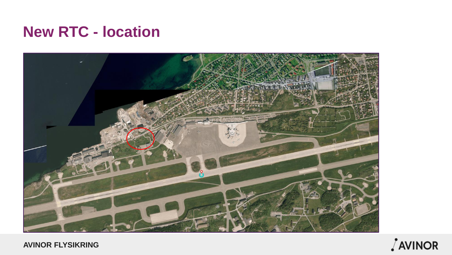#### **New RTC - location**